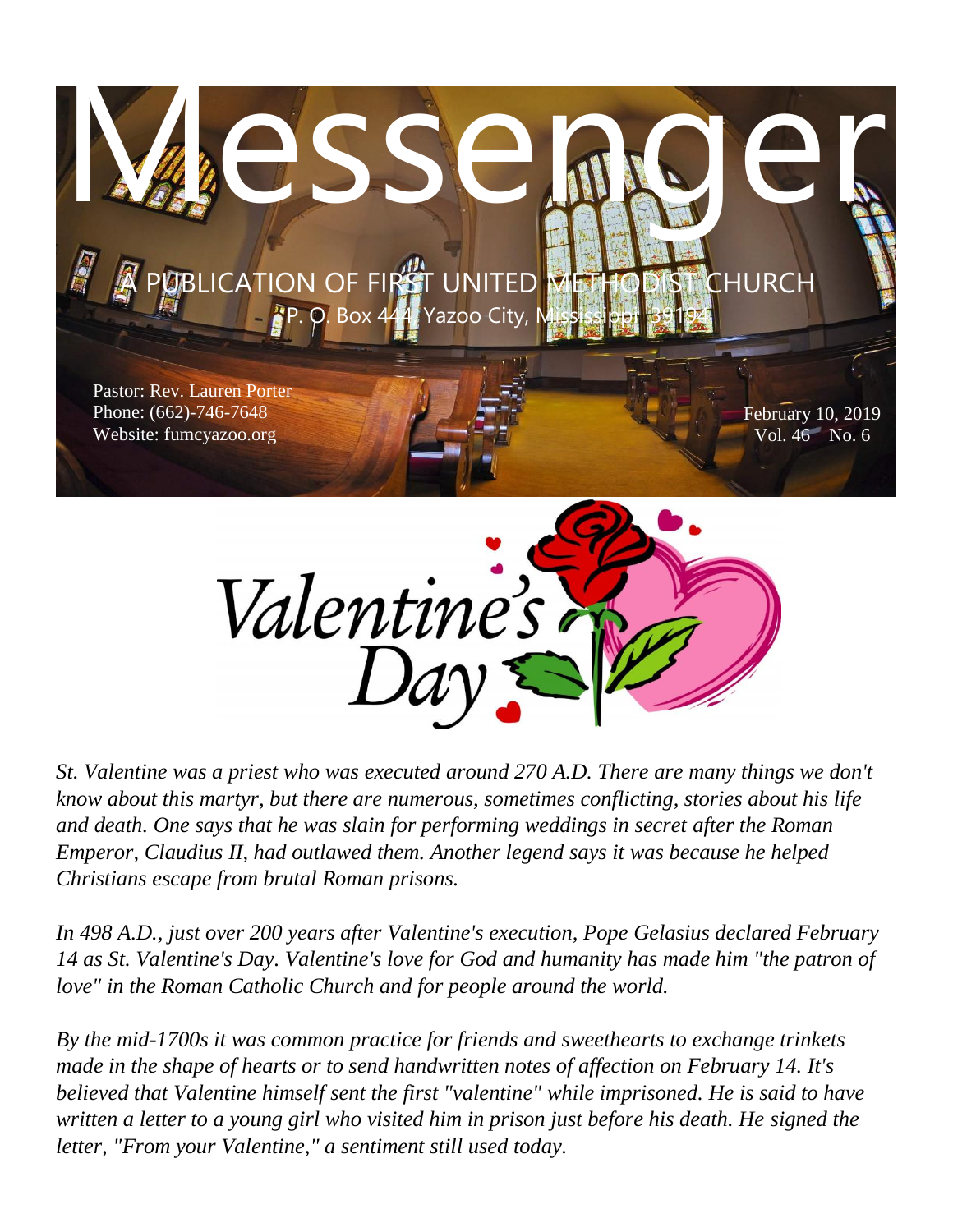

*St. Valentine was a priest who was executed around 270 A.D. There are many things we don't know about this martyr, but there are numerous, sometimes conflicting, stories about his life and death. One says that he was slain for performing weddings in secret after the Roman Emperor, Claudius II, had outlawed them. Another legend says it was because he helped Christians escape from brutal Roman prisons.* 

*In 498 A.D., just over 200 years after Valentine's execution, Pope Gelasius declared February 14 as St. Valentine's Day. Valentine's love for God and humanity has made him "the patron of love" in the Roman Catholic Church and for people around the world.* 

*By the mid-1700s it was common practice for friends and sweethearts to exchange trinkets made in the shape of hearts or to send handwritten notes of affection on February 14. It's believed that Valentine himself sent the first "valentine" while imprisoned. He is said to have written a letter to a young girl who visited him in prison just before his death. He signed the letter, "From your Valentine," a sentiment still used today.*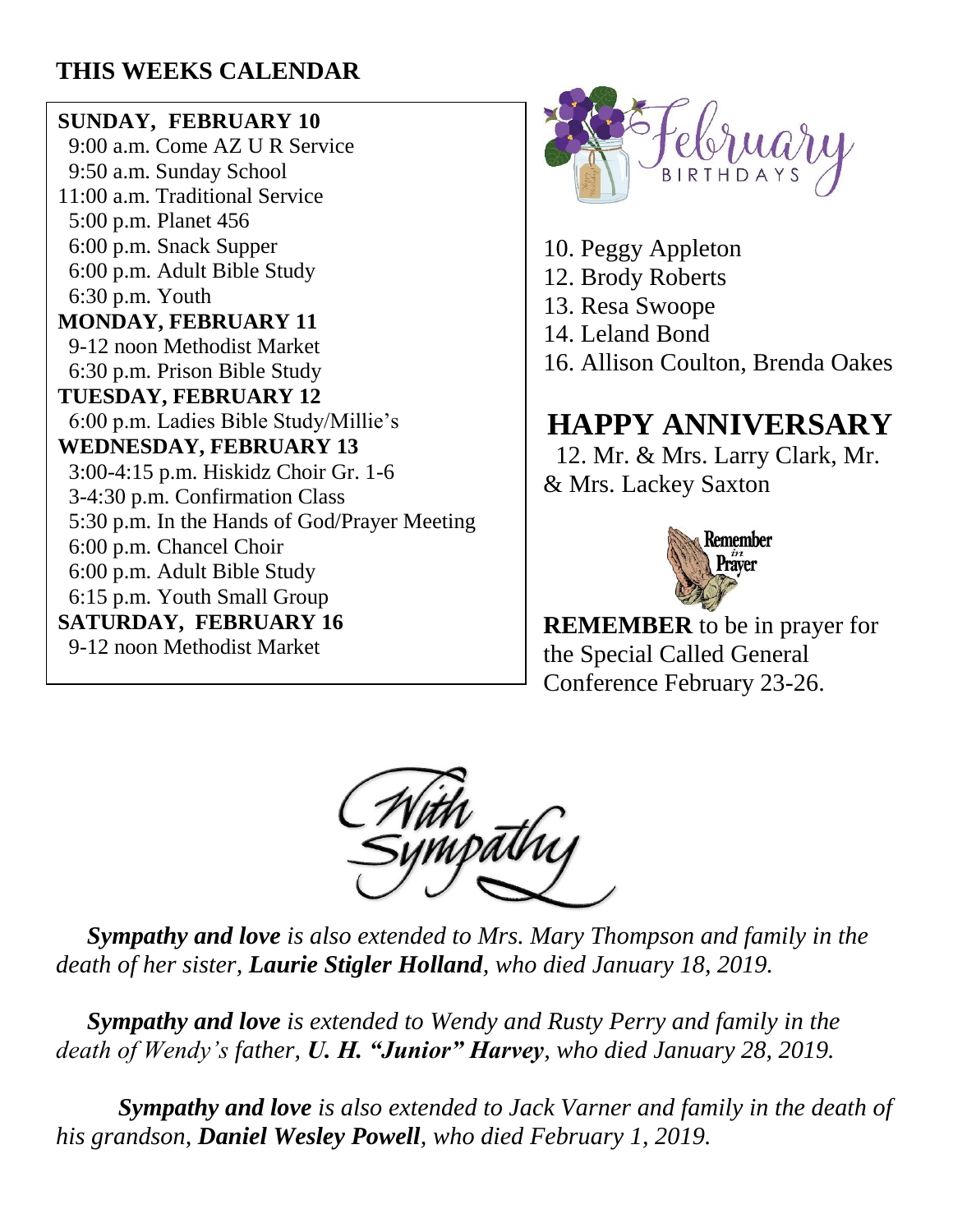## **THIS WEEKS CALENDAR**

### **SUNDAY, FEBRUARY 10**

 9:00 a.m. Come AZ U R Service 9:50 a.m. Sunday School 11:00 a.m. Traditional Service 5:00 p.m. Planet 456 6:00 p.m. Snack Supper 6:00 p.m. Adult Bible Study 6:30 p.m. Youth **MONDAY, FEBRUARY 11** 9-12 noon Methodist Market 6:30 p.m. Prison Bible Study **TUESDAY, FEBRUARY 12** 6:00 p.m. Ladies Bible Study/Millie's **WEDNESDAY, FEBRUARY 13** 3:00-4:15 p.m. Hiskidz Choir Gr. 1-6 3-4:30 p.m. Confirmation Class 5:30 p.m. In the Hands of God/Prayer Meeting 6:00 p.m. Chancel Choir 6:00 p.m. Adult Bible Study 6:15 p.m. Youth Small Group **SATURDAY, FEBRUARY 16** 9-12 noon Methodist Market



10. Peggy Appleton 12. Brody Roberts 13. Resa Swoope 14. Leland Bond 16. Allison Coulton, Brenda Oakes

# **HAPPY ANNIVERSARY**

 12. Mr. & Mrs. Larry Clark, Mr. & Mrs. Lackey Saxton



**REMEMBER** to be in prayer for the Special Called General Conference February 23-26.



 *Sympathy and love is also extended to Mrs. Mary Thompson and family in the death of her sister, Laurie Stigler Holland, who died January 18, 2019.*

 *Sympathy and love is extended to Wendy and Rusty Perry and family in the death of Wendy's father, U. H. "Junior" Harvey, who died January 28, 2019.*

 *Sympathy and love is also extended to Jack Varner and family in the death of his grandson, Daniel Wesley Powell, who died February 1, 2019.*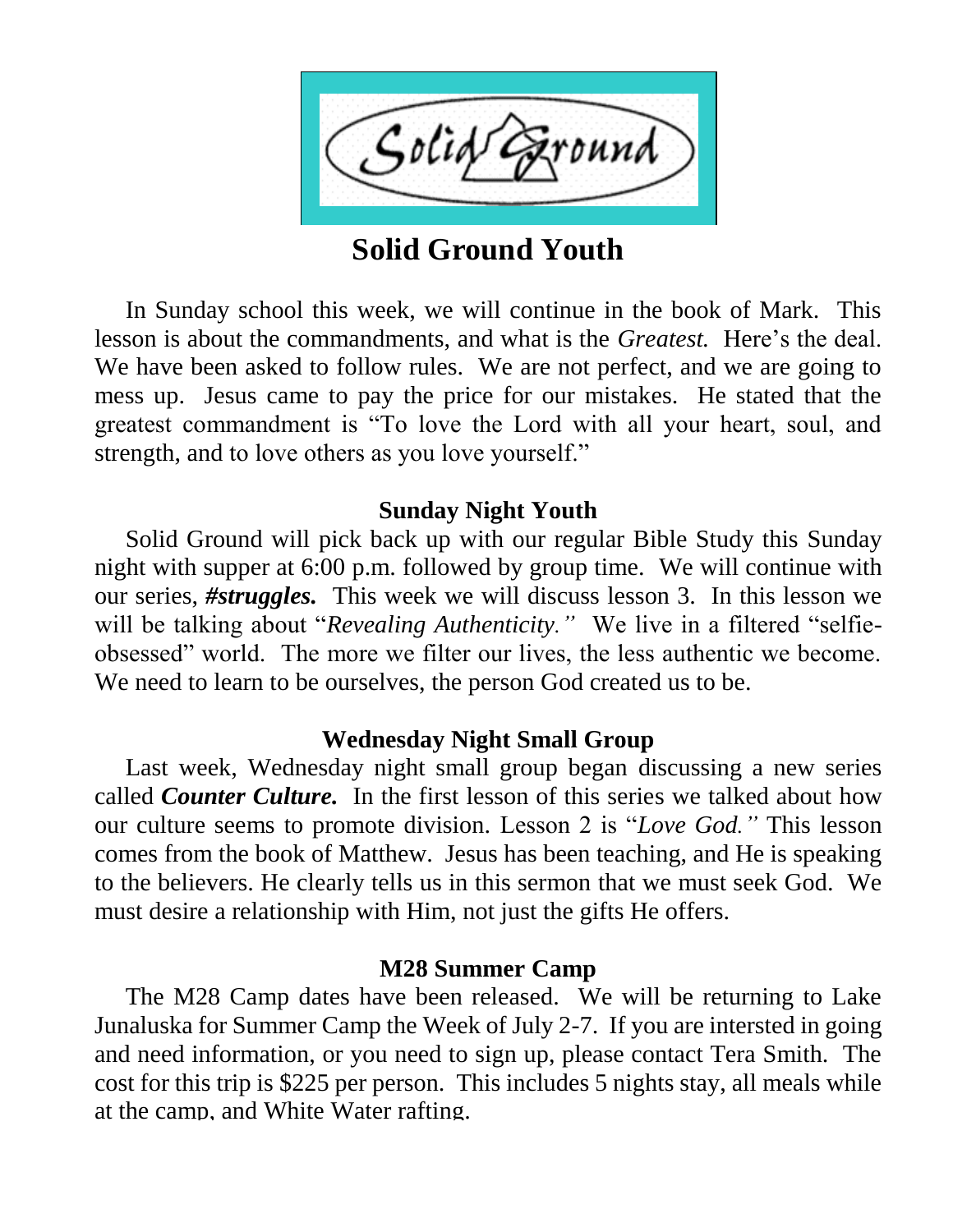

**Solid Ground Youth**

 In Sunday school this week, we will continue in the book of Mark. This lesson is about the commandments, and what is the *Greatest.* Here's the deal. We have been asked to follow rules. We are not perfect, and we are going to mess up. Jesus came to pay the price for our mistakes. He stated that the greatest commandment is "To love the Lord with all your heart, soul, and strength, and to love others as you love yourself."

#### **Sunday Night Youth**

 Solid Ground will pick back up with our regular Bible Study this Sunday night with supper at 6:00 p.m. followed by group time. We will continue with our series, *#struggles.* This week we will discuss lesson 3. In this lesson we will be talking about "*Revealing Authenticity*." We live in a filtered "selfieobsessed" world. The more we filter our lives, the less authentic we become. We need to learn to be ourselves, the person God created us to be.

#### **Wednesday Night Small Group**

 Last week, Wednesday night small group began discussing a new series called *Counter Culture.* In the first lesson of this series we talked about how our culture seems to promote division. Lesson 2 is "*Love God."* This lesson comes from the book of Matthew. Jesus has been teaching, and He is speaking to the believers. He clearly tells us in this sermon that we must seek God. We must desire a relationship with Him, not just the gifts He offers.

#### **M28 Summer Camp**

 The M28 Camp dates have been released. We will be returning to Lake Junaluska for Summer Camp the Week of July 2-7. If you are intersted in going and need information, or you need to sign up, please contact Tera Smith. The cost for this trip is \$225 per person. This includes 5 nights stay, all meals while at the camp, and White Water rafting.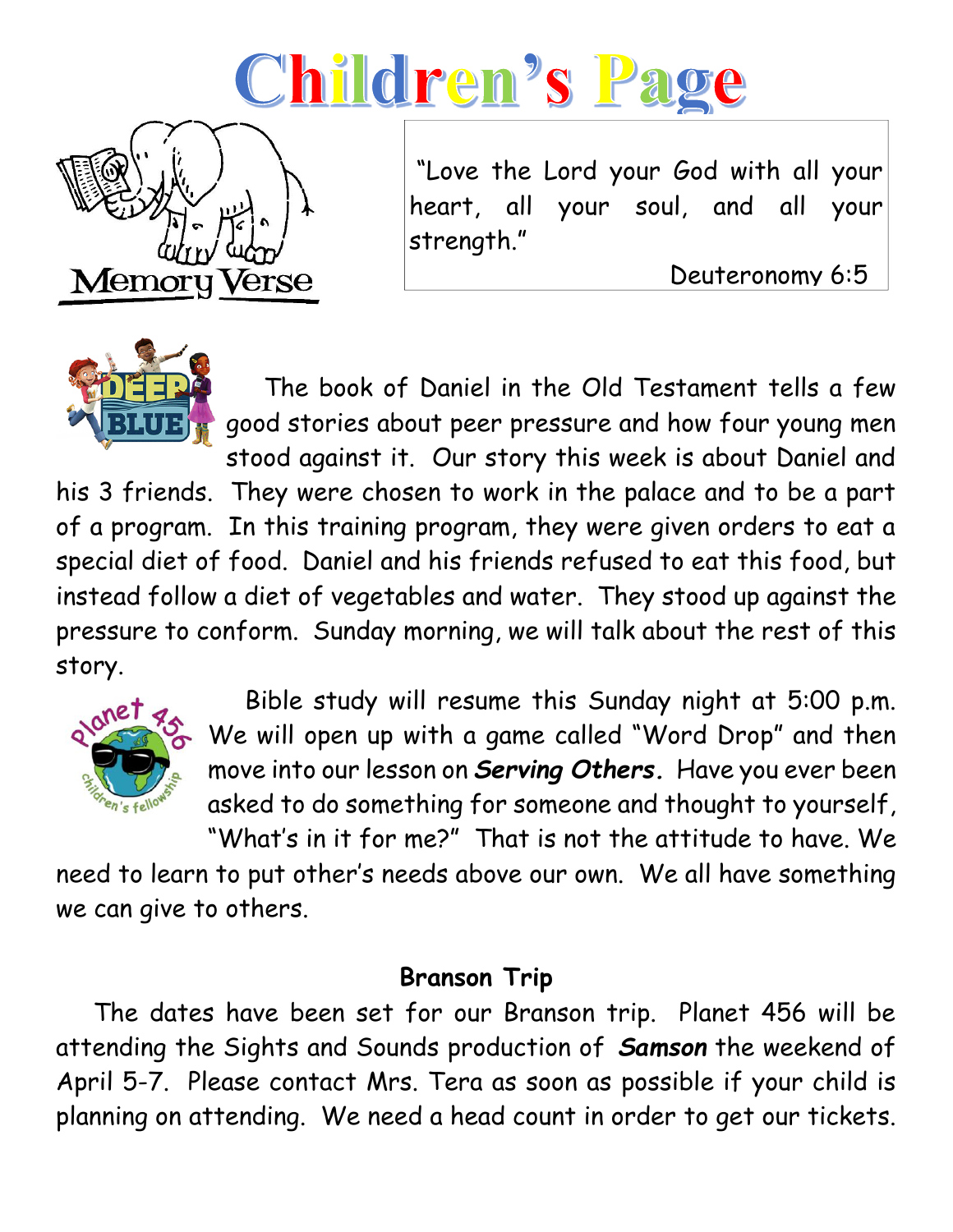



"Love the Lord your God with all your heart, all your soul, and all your strength."

Deuteronomy 6:5



 The book of Daniel in the Old Testament tells a few good stories about peer pressure and how four young men stood against it. Our story this week is about Daniel and

his 3 friends. They were chosen to work in the palace and to be a part of a program. In this training program, they were given orders to eat a special diet of food. Daniel and his friends refused to eat this food, but instead follow a diet of vegetables and water. They stood up against the pressure to conform. Sunday morning, we will talk about the rest of this story.



 Bible study will resume this Sunday night at 5:00 p.m. We will open up with a game called "Word Drop" and then move into our lesson on *Serving Others.* Have you ever been asked to do something for someone and thought to yourself, "What's in it for me?" That is not the attitude to have. We

need to learn to put other's needs above our own. We all have something we can give to others.

## **Branson Trip**

 The dates have been set for our Branson trip. Planet 456 will be attending the Sights and Sounds production of *Samson* the weekend of April 5-7. Please contact Mrs. Tera as soon as possible if your child is planning on attending. We need a head count in order to get our tickets.